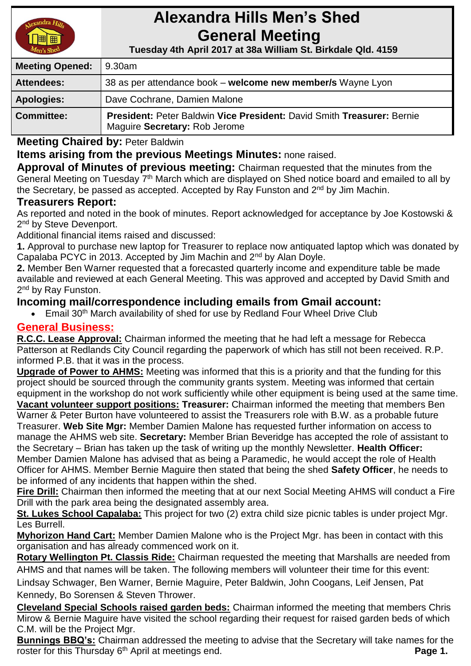

# **Alexandra Hills Men's Shed General Meeting**

 **Tuesday 4th April 2017 at 38a William St. Birkdale Qld. 4159** 

| <b>Meeting Opened:</b> | 9.30am                                                                                                  |
|------------------------|---------------------------------------------------------------------------------------------------------|
| <b>Attendees:</b>      | 38 as per attendance book – welcome new member/s Wayne Lyon                                             |
| <b>Apologies:</b>      | Dave Cochrane, Damien Malone                                                                            |
| Committee:             | President: Peter Baldwin Vice President: David Smith Treasurer: Bernie<br>Maguire Secretary: Rob Jerome |

**Meeting Chaired by:** Peter Baldwin

## **Items arising from the previous Meetings Minutes:** none raised.

**Approval of Minutes of previous meeting:** Chairman requested that the minutes from the General Meeting on Tuesday 7<sup>th</sup> March which are displayed on Shed notice board and emailed to all by the Secretary, be passed as accepted. Accepted by Ray Funston and 2<sup>nd</sup> by Jim Machin.

### **Treasurers Report:**

As reported and noted in the book of minutes. Report acknowledged for acceptance by Joe Kostowski & 2<sup>nd</sup> by Steve Devenport.

Additional financial items raised and discussed:

**1.** Approval to purchase new laptop for Treasurer to replace now antiquated laptop which was donated by Capalaba PCYC in 2013. Accepted by Jim Machin and 2nd by Alan Doyle.

**2.** Member Ben Warner requested that a forecasted quarterly income and expenditure table be made available and reviewed at each General Meeting. This was approved and accepted by David Smith and 2<sup>nd</sup> by Ray Funston.

## **Incoming mail/correspondence including emails from Gmail account:**

Email 30<sup>th</sup> March availability of shed for use by Redland Four Wheel Drive Club

## **General Business:**

**R.C.C. Lease Approval:** Chairman informed the meeting that he had left a message for Rebecca Patterson at Redlands City Council regarding the paperwork of which has still not been received. R.P. informed P.B. that it was in the process.

**Upgrade of Power to AHMS:** Meeting was informed that this is a priority and that the funding for this project should be sourced through the community grants system. Meeting was informed that certain equipment in the workshop do not work sufficiently while other equipment is being used at the same time.

**Vacant volunteer support positions: Treasurer:** Chairman informed the meeting that members Ben Warner & Peter Burton have volunteered to assist the Treasurers role with B.W. as a probable future Treasurer. **Web Site Mgr:** Member Damien Malone has requested further information on access to manage the AHMS web site. **Secretary:** Member Brian Beveridge has accepted the role of assistant to the Secretary – Brian has taken up the task of writing up the monthly Newsletter. **Health Officer:** Member Damien Malone has advised that as being a Paramedic, he would accept the role of Health Officer for AHMS. Member Bernie Maguire then stated that being the shed **Safety Officer**, he needs to be informed of any incidents that happen within the shed.

**Fire Drill:** Chairman then informed the meeting that at our next Social Meeting AHMS will conduct a Fire Drill with the park area being the designated assembly area.

**St. Lukes School Capalaba:** This project for two (2) extra child size picnic tables is under project Mgr. Les Burrell.

**Myhorizon Hand Cart:** Member Damien Malone who is the Project Mgr. has been in contact with this organisation and has already commenced work on it.

**Rotary Wellington Pt. Classis Ride:** Chairman requested the meeting that Marshalls are needed from AHMS and that names will be taken. The following members will volunteer their time for this event:

Lindsay Schwager, Ben Warner, Bernie Maguire, Peter Baldwin, John Coogans, Leif Jensen, Pat Kennedy, Bo Sorensen & Steven Thrower.

**Cleveland Special Schools raised garden beds:** Chairman informed the meeting that members Chris Mirow & Bernie Maguire have visited the school regarding their request for raised garden beds of which C.M. will be the Project Mgr.

**Bunnings BBQ's:** Chairman addressed the meeting to advise that the Secretary will take names for the roster for this Thursday 6<sup>th</sup> April at meetings end. **Page 1. Page 1. Page 1.**